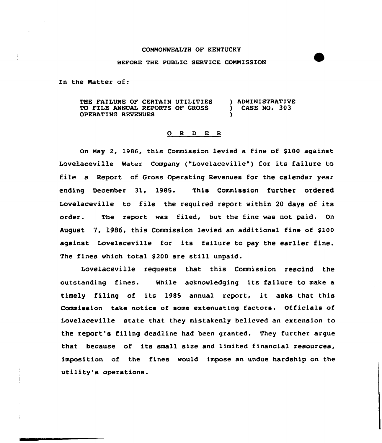## COMMONWEALTH OF KENTUCKY

## BEFORE THE PUBLIC SERVICE COMNISSION

In the Natter of:

THE FAILURE OF CERTAIN UTILITIES ) ADMINISTRATIVE<br>TO FILE ANNUAL REPORTS OF GROSS ) CASE NO. 303 TO FILE ANNUAL REPORTS OF GROSS OPERATING REVENUES )

## 0 <sup>R</sup> <sup>D</sup> E <sup>R</sup>

On May 2, 1986, this Commission levied a fine of \$100 against Lovelaceville Water Company ("Lovelacevi1le") for its failure to file a Report of Gross Operating Revenues for the calendar year ending December 31, 1985. This Commission further ordered Lovelaceville to file the required report within <sup>20</sup> days of its order. The report was filed, but the fine was not paid. On August 7, 1986, this Commission levied an additional fine of \$100 against Lovelaceville for its failure to pay the earlier fine. The fines which total \$200 are still unpaid.

Lovelaceville requests that this Commission rescind the outstanding fines. While acknowledging its failure to make a timely filing of its 1985 annual report, it asks that this Commission take notice of some extenuating factors. Officials of Lovelaceville state that they mistakenly believed an extension to the report's filing deadline had been granted. They further argue that because of its small size and limited financial resources, imposition of the fines would impose an undue hardship on the utility's operations.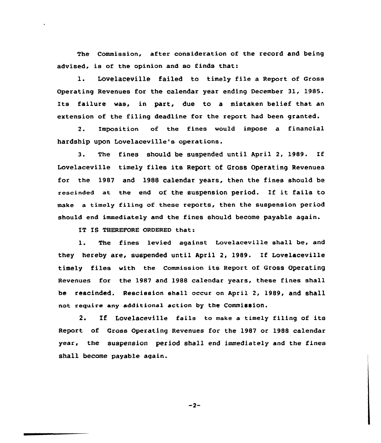The Commission, after consideration of the record and being advised, is of the opinion and so finds that:

1. Lovelaceville failed to timely file <sup>a</sup> Report of Gross Operating Revenues for the calendar year ending December 31, 1985. Its failure was, in part, due to a mistaken belief that an extension of the filing deadline for the report had been granted.

2. Imposition of the fines would impose a financial hardship upon Lovelaceville's operations.

3. The fines should be suspended until April 2, 1989. If Lovelaceville timely files its Report of Gross Operating Revenues for the 1987 and 1988 calendar years, then the fines should be rescinded at the end of the suspension period. If it fails to make a timely filing of these reports, then the suspension period should end immediately and the fines should become payable again.

IT IS THEREFORE ORDERED that:

1. The fines levied against Lovelaceville shall be, and they hereby are, suspended until April 2, 1989. If Lovelaceville timely files with the Commission its Report of Gross Operating Revenues for the 1987 and 1988 calendar years, these fines shall be rescinded. Rescission shall occur on April 2, 1989, and shall not reguire any additional action by the Commission.

2. If Lovelaceville fails to make <sup>a</sup> timely filing of its Report of Gross Operating Revenues for the 1987 or 1988 calendar year. the suspension period shall end immediately and the fines shall become payable again.

 $-2-$